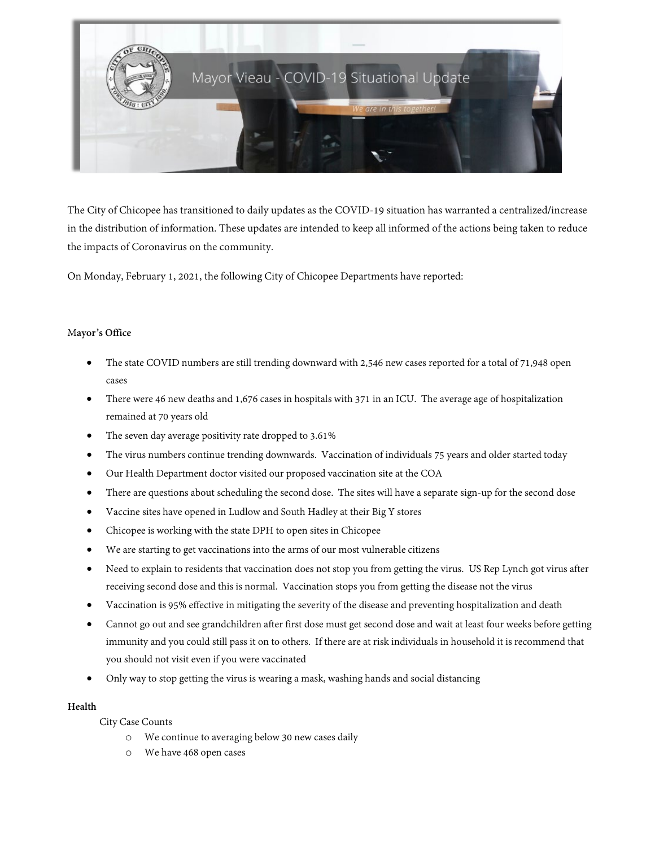

The City of Chicopee has transitioned to daily updates as the COVID-19 situation has warranted a centralized/increase in the distribution of information. These updates are intended to keep all informed of the actions being taken to reduce the impacts of Coronavirus on the community.

On Monday, February 1, 2021, the following City of Chicopee Departments have reported:

## M**ayor's Office**

- The state COVID numbers are still trending downward with 2,546 new cases reported for a total of 71,948 open cases
- There were 46 new deaths and 1,676 cases in hospitals with 371 in an ICU. The average age of hospitalization remained at 70 years old
- The seven day average positivity rate dropped to 3.61%
- The virus numbers continue trending downwards. Vaccination of individuals 75 years and older started today
- Our Health Department doctor visited our proposed vaccination site at the COA
- There are questions about scheduling the second dose. The sites will have a separate sign-up for the second dose
- Vaccine sites have opened in Ludlow and South Hadley at their Big Y stores
- Chicopee is working with the state DPH to open sites in Chicopee
- We are starting to get vaccinations into the arms of our most vulnerable citizens
- Need to explain to residents that vaccination does not stop you from getting the virus. US Rep Lynch got virus after receiving second dose and this is normal. Vaccination stops you from getting the disease not the virus
- Vaccination is 95% effective in mitigating the severity of the disease and preventing hospitalization and death
- Cannot go out and see grandchildren after first dose must get second dose and wait at least four weeks before getting immunity and you could still pass it on to others. If there are at risk individuals in household it is recommend that you should not visit even if you were vaccinated
- Only way to stop getting the virus is wearing a mask, washing hands and social distancing

## **Health**

City Case Counts

- o We continue to averaging below 30 new cases daily
- o We have 468 open cases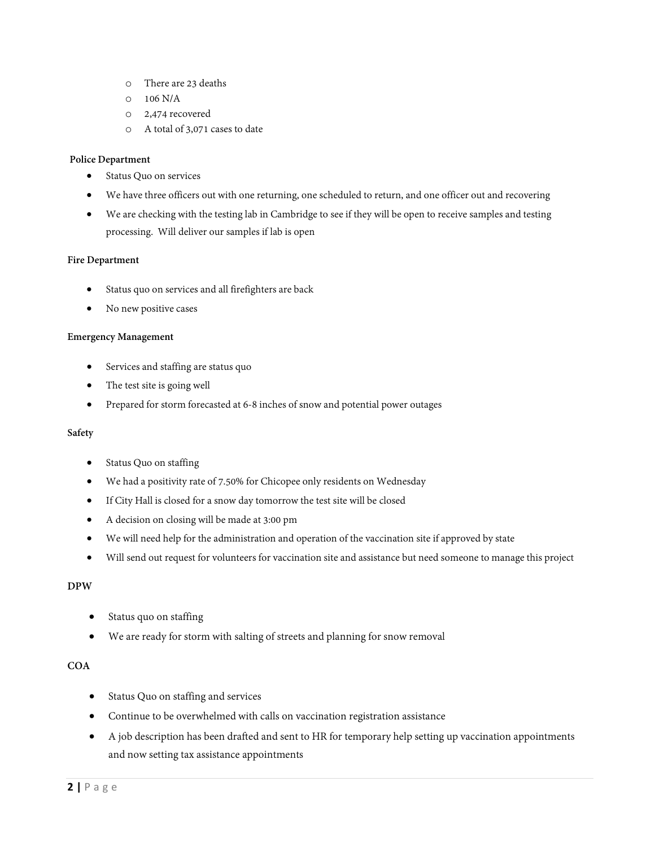- o There are 23 deaths
- $O$  106 N/A
- o 2,474 recovered
- o A total of 3,071 cases to date

### **Police Department**

- Status Quo on services
- We have three officers out with one returning, one scheduled to return, and one officer out and recovering
- We are checking with the testing lab in Cambridge to see if they will be open to receive samples and testing processing. Will deliver our samples if lab is open

#### **Fire Department**

- Status quo on services and all firefighters are back
- No new positive cases

#### **Emergency Management**

- Services and staffing are status quo
- The test site is going well
- Prepared for storm forecasted at 6-8 inches of snow and potential power outages

#### **Safety**

- Status Quo on staffing
- We had a positivity rate of 7.50% for Chicopee only residents on Wednesday
- If City Hall is closed for a snow day tomorrow the test site will be closed
- A decision on closing will be made at 3:00 pm
- We will need help for the administration and operation of the vaccination site if approved by state
- Will send out request for volunteers for vaccination site and assistance but need someone to manage this project

## **DPW**

- Status quo on staffing
- We are ready for storm with salting of streets and planning for snow removal

# **COA**

- Status Quo on staffing and services
- Continue to be overwhelmed with calls on vaccination registration assistance
- A job description has been drafted and sent to HR for temporary help setting up vaccination appointments and now setting tax assistance appointments